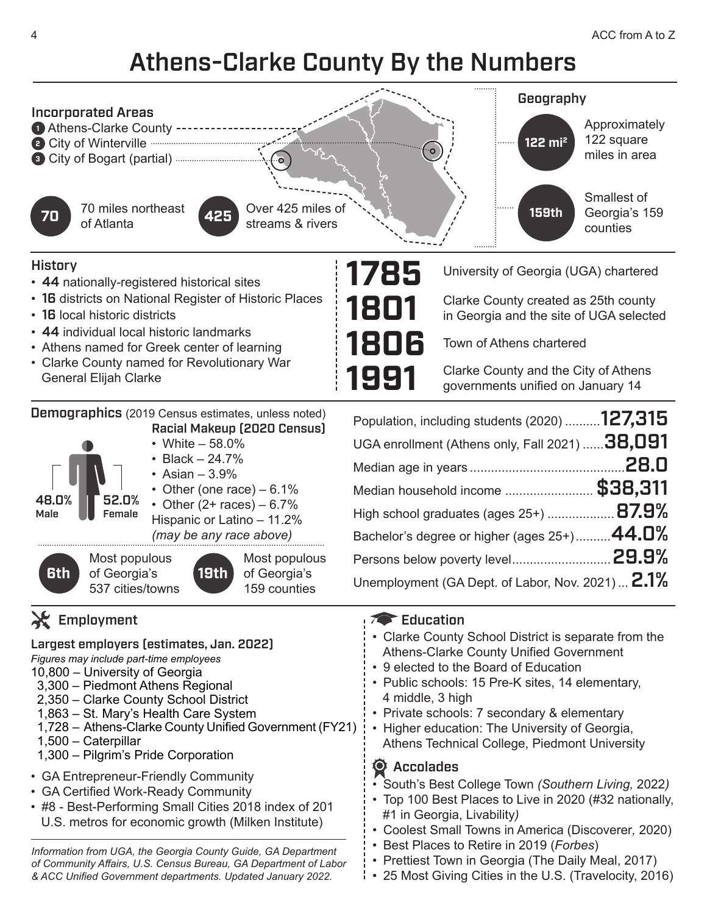## Athens-Clarke County By the Numbers



#### **History**

48.0% Male

**6th**

- 44 nationally-registered historical sites
- 16 districts on National Register of Historic Places
- 16 local historic districts
- 44 individual local historic landmarks
- Athens named for Greek center of learning
- Clarke County named for Revolutionary War General Elijah Clarke

Demographics (2019 Census estimates, unless noted) Racial Makeup (2020 Census)

52.0% Female • White – 58.0% • Black – 24.7% • Asian – 3.9% • Other (one race)  $-6.1\%$ • Other  $(2 + \text{races}) - 6.7\%$ Hispanic or Latino – 11.2% *(may be any race above)* Most populous of Georgia's 537 cities/towns **19th** Most populous of Georgia's 159 counties

### $\lambda$  Employment

Largest employers (estimates, Jan. 2022)

- *Figures may include part-time employees*
- 10,800 University of Georgia
- 3,300 Piedmont Athens Regional
- 2,350 Clarke County School District
- 1,863 St. Mary's Health Care System
- 1,728 Athens-Clarke County Unified Government (FY21)
- 1,500 Caterpillar
- 1,300 Pilgrim's Pride Corporation
- GA Entrepreneur-Friendly Community
- GA Certified Work-Ready Community
- #8 Best-Performing Small Cities 2018 index of 201 U.S. metros for economic growth (Milken Institute)

*Information from UGA, the Georgia County Guide, GA Department of Community Affairs, U.S. Census Bureau, GA Department of Labor & ACC Unified Government departments. Updated January 2022.*



University of Georgia (UGA) chartered

Clarke County created as 25th county in Georgia and the site of UGA selected

Town of Athens chartered

Clarke County and the City of Athens governments unified on January 14

| Population, including students (2020) 127,315           |  |
|---------------------------------------------------------|--|
| UGA enrollment (Athens only, Fall 2021) <b>38,091</b>   |  |
|                                                         |  |
| Median household income  \$38,311                       |  |
| High school graduates (ages 25+) <b>87.9%</b>           |  |
| Bachelor's degree or higher (ages 25+) $44.0\%$         |  |
|                                                         |  |
| Unemployment (GA Dept. of Labor, Nov. 2021) <b>2.1%</b> |  |

#### **Education**

- Clarke County School District is separate from the Athens-Clarke County Unified Government
- 9 elected to the Board of Education
- Public schools: 15 Pre-K sites, 14 elementary, 4 middle, 3 high
- Private schools: 7 secondary & elementary
- Higher education: The University of Georgia, Athens Technical College, Piedmont University

#### **O** Accolades

- South's Best College Town *(Southern Living,* 2022*)*
- Top 100 Best Places to Live in 2020 (#32 nationally, #1 in Georgia, Livability*)*
- Coolest Small Towns in America (Discoverer*,* 2020)
- Best Places to Retire in 2019 (*Forbes*)
- Prettiest Town in Georgia (The Daily Meal, 2017)
- 25 Most Giving Cities in the U.S. (Travelocity, 2016)